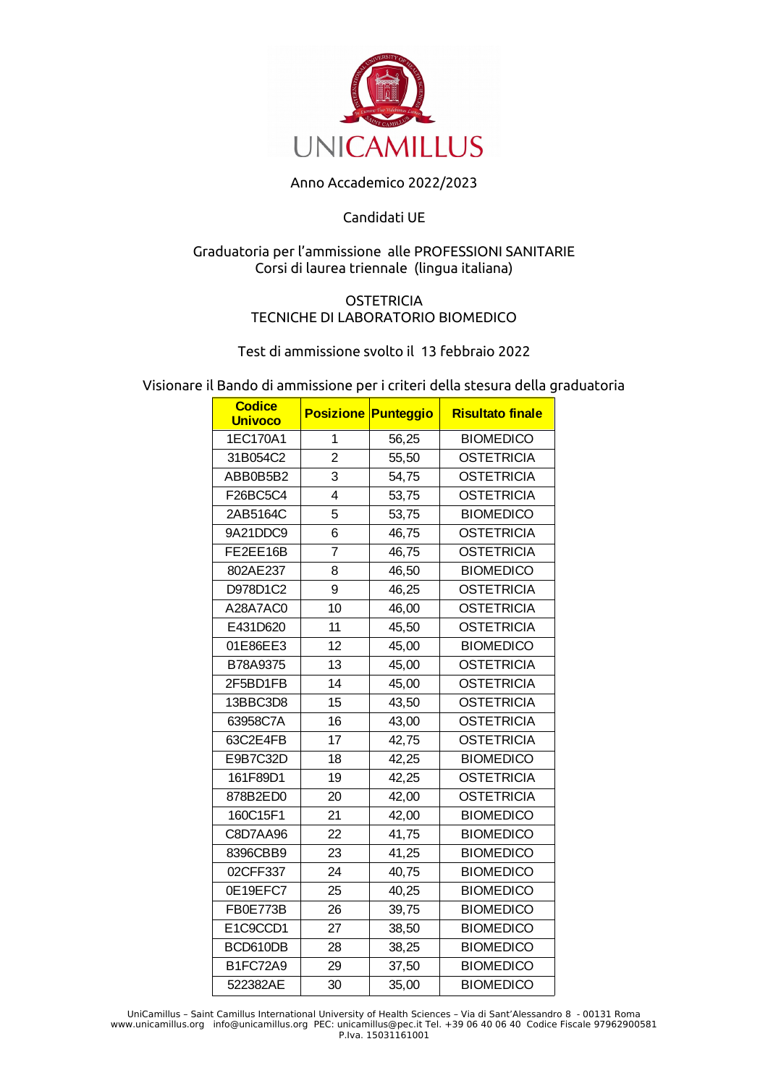

# Anno Accademico 2022/2023

## Candidati UE

## Graduatoria per l'ammissione alle PROFESSIONI SANITARIE Corsi di laurea triennale (lingua italiana)

### **OSTETRICIA** TECNICHE DI LABORATORIO BIOMEDICO

### Test di ammissione svolto il 13 febbraio 2022

Visionare il Bando di ammissione per i criteri della stesura della graduatoria

| <b>Codice</b><br><b>Univoco</b> |                | <b>Posizione Punteggio</b> | <b>Risultato finale</b> |
|---------------------------------|----------------|----------------------------|-------------------------|
| 1EC170A1                        | 1              | 56,25                      | <b>BIOMEDICO</b>        |
| 31B054C2                        | $\overline{2}$ | 55,50                      | <b>OSTETRICIA</b>       |
| ABB0B5B2                        | 3              | 54,75                      | <b>OSTETRICIA</b>       |
| F26BC5C4                        | 4              | 53,75                      | <b>OSTETRICIA</b>       |
| 2AB5164C                        | 5              | 53,75                      | <b>BIOMEDICO</b>        |
| 9A21DDC9                        | 6              | 46,75                      | <b>OSTETRICIA</b>       |
| FE2EE16B                        | 7              | 46,75                      | <b>OSTETRICIA</b>       |
| 802AE237                        | 8              | 46,50                      | <b>BIOMEDICO</b>        |
| D978D1C2                        | 9              | 46,25                      | <b>OSTETRICIA</b>       |
| A28A7AC0                        | 10             | 46,00                      | <b>OSTETRICIA</b>       |
| E431D620                        | 11             | 45,50                      | <b>OSTETRICIA</b>       |
| 01E86EE3                        | 12             | 45,00                      | <b>BIOMEDICO</b>        |
| B78A9375                        | 13             | 45,00                      | <b>OSTETRICIA</b>       |
| 2F5BD1FB                        | 14             | 45,00                      | <b>OSTETRICIA</b>       |
| 13BBC3D8                        | 15             | 43,50                      | <b>OSTETRICIA</b>       |
| 63958C7A                        | 16             | 43,00                      | <b>OSTETRICIA</b>       |
| 63C2E4FB                        | 17             | 42,75                      | <b>OSTETRICIA</b>       |
| E9B7C32D                        | 18             | 42,25                      | <b>BIOMEDICO</b>        |
| 161F89D1                        | 19             | 42,25                      | <b>OSTETRICIA</b>       |
| 878B2ED0                        | 20             | 42,00                      | <b>OSTETRICIA</b>       |
| 160C15F1                        | 21             | 42,00                      | <b>BIOMEDICO</b>        |
| C8D7AA96                        | 22             | 41,75                      | <b>BIOMEDICO</b>        |
| 8396CBB9                        | 23             | 41,25                      | <b>BIOMEDICO</b>        |
| 02CFF337                        | 24             | 40,75                      | <b>BIOMEDICO</b>        |
| 0E19EFC7                        | 25             | 40,25                      | <b>BIOMEDICO</b>        |
| FB0E773B                        | 26             | 39,75                      | <b>BIOMEDICO</b>        |
| E1C9CCD1                        | 27             | 38,50                      | <b>BIOMEDICO</b>        |
| BCD610DB                        | 28             | 38,25                      | <b>BIOMEDICO</b>        |
| B1FC72A9                        | 29             | 37,50                      | <b>BIOMEDICO</b>        |
| 522382AE                        | 30             | 35,00                      | <b>BIOMEDICO</b>        |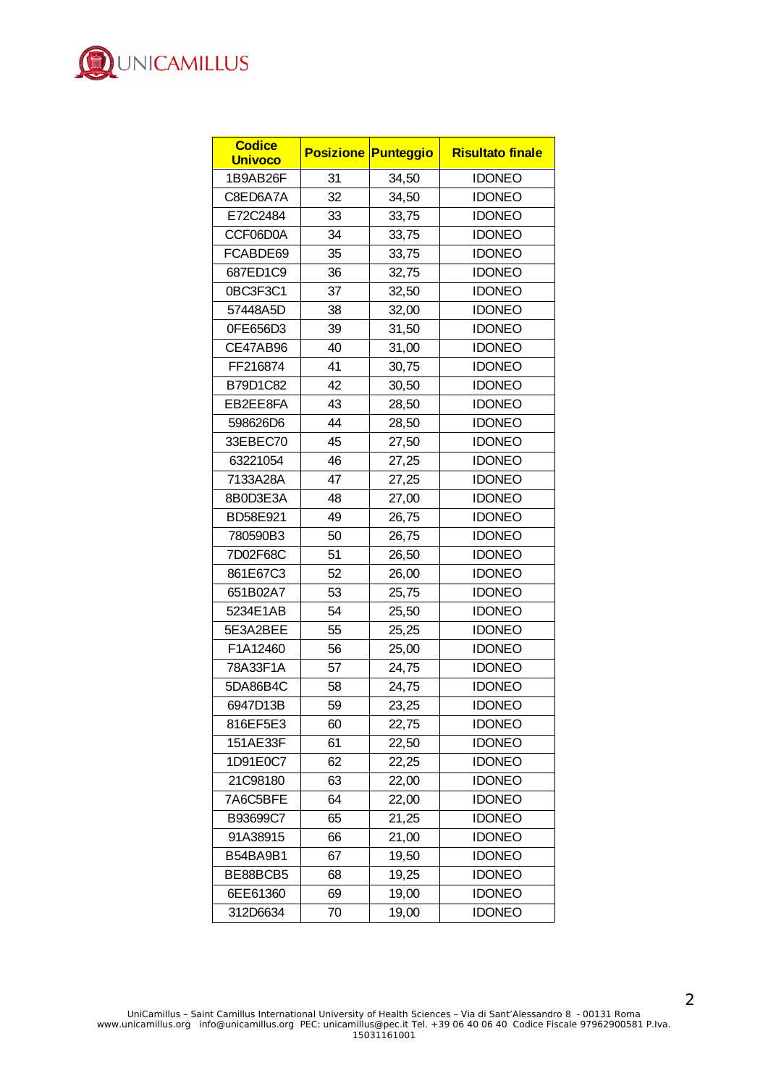

| <b>Codice</b><br><b>Univoco</b> |    | <b>Posizione Punteggio</b> | <b>Risultato finale</b> |
|---------------------------------|----|----------------------------|-------------------------|
| 1B9AB26F                        | 31 | 34,50                      | <b>IDONEO</b>           |
| C8ED6A7A                        | 32 | 34,50                      | <b>IDONEO</b>           |
| E72C2484                        | 33 | 33,75                      | <b>IDONEO</b>           |
| CCF06D0A                        | 34 | 33,75                      | <b>IDONEO</b>           |
| FCABDE69                        | 35 | 33,75                      | <b>IDONEO</b>           |
| 687ED1C9                        | 36 | 32,75                      | <b>IDONEO</b>           |
| 0BC3F3C1                        | 37 | 32,50                      | <b>IDONEO</b>           |
| 57448A5D                        | 38 | 32,00                      | <b>IDONEO</b>           |
| 0FE656D3                        | 39 | 31,50                      | <b>IDONEO</b>           |
| CE47AB96                        | 40 | 31,00                      | <b>IDONEO</b>           |
| FF216874                        | 41 | 30,75                      | <b>IDONEO</b>           |
| B79D1C82                        | 42 | 30,50                      | <b>IDONEO</b>           |
| EB2EE8FA                        | 43 | 28,50                      | <b>IDONEO</b>           |
| 598626D6                        | 44 | 28,50                      | <b>IDONEO</b>           |
| 33EBEC70                        | 45 | 27,50                      | <b>IDONEO</b>           |
| 63221054                        | 46 | 27,25                      | <b>IDONEO</b>           |
| 7133A28A                        | 47 | 27,25                      | <b>IDONEO</b>           |
| 8B0D3E3A                        | 48 | 27,00                      | <b>IDONEO</b>           |
| BD58E921                        | 49 | 26,75                      | <b>IDONEO</b>           |
| 780590B3                        | 50 | 26,75                      | <b>IDONEO</b>           |
| 7D02F68C                        | 51 | 26,50                      | <b>IDONEO</b>           |
| 861E67C3                        | 52 | 26,00                      | <b>IDONEO</b>           |
| 651B02A7                        | 53 | 25,75                      | <b>IDONEO</b>           |
| 5234E1AB                        | 54 | 25,50                      | <b>IDONEO</b>           |
| 5E3A2BEE                        | 55 | 25,25                      | <b>IDONEO</b>           |
| F1A12460                        | 56 | 25,00                      | <b>IDONEO</b>           |
| 78A33F1A                        | 57 | 24,75                      | <b>IDONEO</b>           |
| 5DA86B4C                        | 58 | 24,75                      | <b>IDONEO</b>           |
| 6947D13B                        | 59 | 23,25                      | <b>IDONEO</b>           |
| 816EF5E3                        | 60 | 22,75                      | <b>IDONEO</b>           |
| 151AE33F                        | 61 | 22,50                      | <b>IDONEO</b>           |
| 1D91E0C7                        | 62 | 22,25                      | <b>IDONEO</b>           |
| 21C98180                        | 63 | 22,00                      | <b>IDONEO</b>           |
| 7A6C5BFE                        | 64 | 22,00                      | <b>IDONEO</b>           |
| B93699C7                        | 65 | 21,25                      | <b>IDONEO</b>           |
| 91A38915                        | 66 | 21,00                      | <b>IDONEO</b>           |
| B54BA9B1                        | 67 | 19,50                      | <b>IDONEO</b>           |
| BE88BCB5                        | 68 | 19,25                      | <b>IDONEO</b>           |
| 6EE61360                        | 69 | 19,00                      | <b>IDONEO</b>           |
| 312D6634                        | 70 | 19,00                      | <b>IDONEO</b>           |